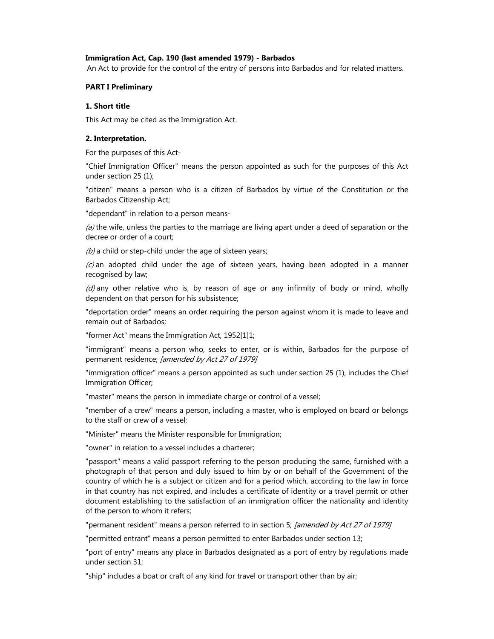### **Immigration Act, Cap. 190 (last amended 1979) - Barbados**

An Act to provide for the control of the entry of persons into Barbados and for related matters.

### **PART I Preliminary**

### **1. Short title**

This Act may be cited as the Immigration Act.

#### **2. Interpretation.**

For the purposes of this Act-

"Chief Immigration Officer" means the person appointed as such for the purposes of this Act under section 25 (1);

"citizen" means a person who is a citizen of Barbados by virtue of the Constitution or the Barbados Citizenship Act;

"dependant" in relation to a person means-

 $(a)$  the wife, unless the parties to the marriage are living apart under a deed of separation or the decree or order of a court;

 $(b)$  a child or step-child under the age of sixteen years;

 $(c)$  an adopted child under the age of sixteen years, having been adopted in a manner recognised by law;

 $(d)$  any other relative who is, by reason of age or any infirmity of body or mind, wholly dependent on that person for his subsistence;

"deportation order" means an order requiring the person against whom it is made to leave and remain out of Barbados;

"former Act" means the Immigration Act, 1952[1]1;

"immigrant" means a person who, seeks to enter, or is within, Barbados for the purpose of permanent residence; [amended by Act 27 of 1979]

"immigration officer" means a person appointed as such under section 25 (1), includes the Chief Immigration Officer;

"master" means the person in immediate charge or control of a vessel;

"member of a crew" means a person, including a master, who is employed on board or belongs to the staff or crew of a vessel;

"Minister" means the Minister responsible for Immigration;

"owner" in relation to a vessel includes a charterer;

"passport" means a valid passport referring to the person producing the same, furnished with a photograph of that person and duly issued to him by or on behalf of the Government of the country of which he is a subject or citizen and for a period which, according to the law in force in that country has not expired, and includes a certificate of identity or a travel permit or other document establishing to the satisfaction of an immigration officer the nationality and identity of the person to whom it refers;

"permanent resident" means a person referred to in section 5; [amended by Act 27 of 1979]

"permitted entrant" means a person permitted to enter Barbados under section 13;

"port of entry" means any place in Barbados designated as a port of entry by regulations made under section 31;

"ship" includes a boat or craft of any kind for travel or transport other than by air;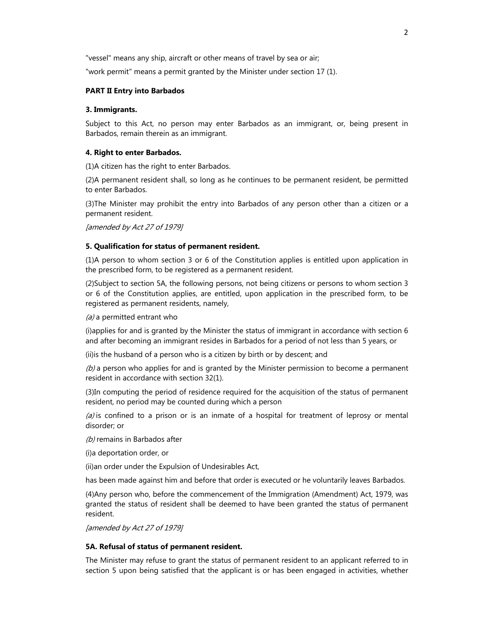"vessel" means any ship, aircraft or other means of travel by sea or air;

"work permit" means a permit granted by the Minister under section 17 (1).

## **PART II Entry into Barbados**

#### **3. Immigrants.**

Subject to this Act, no person may enter Barbados as an immigrant, or, being present in Barbados, remain therein as an immigrant.

### **4. Right to enter Barbados.**

(1)A citizen has the right to enter Barbados.

(2)A permanent resident shall, so long as he continues to be permanent resident, be permitted to enter Barbados.

(3)The Minister may prohibit the entry into Barbados of any person other than a citizen or a permanent resident.

[amended by Act 27 of 1979]

## **5. Qualification for status of permanent resident.**

(1)A person to whom section 3 or 6 of the Constitution applies is entitled upon application in the prescribed form, to be registered as a permanent resident.

(2)Subject to section 5A, the following persons, not being citizens or persons to whom section 3 or 6 of the Constitution applies, are entitled, upon application in the prescribed form, to be registered as permanent residents, namely,

#### $(a)$  a permitted entrant who

(i)applies for and is granted by the Minister the status of immigrant in accordance with section 6 and after becoming an immigrant resides in Barbados for a period of not less than 5 years, or

(ii)is the husband of a person who is a citizen by birth or by descent; and

 $(b)$  a person who applies for and is granted by the Minister permission to become a permanent resident in accordance with section 32(1).

(3)In computing the period of residence required for the acquisition of the status of permanent resident, no period may be counted during which a person

 $(a)$  is confined to a prison or is an inmate of a hospital for treatment of leprosy or mental disorder; or

(b) remains in Barbados after

(i)a deportation order, or

(ii)an order under the Expulsion of Undesirables Act,

has been made against him and before that order is executed or he voluntarily leaves Barbados.

(4)Any person who, before the commencement of the Immigration (Amendment) Act, 1979, was granted the status of resident shall be deemed to have been granted the status of permanent resident.

[amended by Act 27 of 1979]

#### **5A. Refusal of status of permanent resident.**

The Minister may refuse to grant the status of permanent resident to an applicant referred to in section 5 upon being satisfied that the applicant is or has been engaged in activities, whether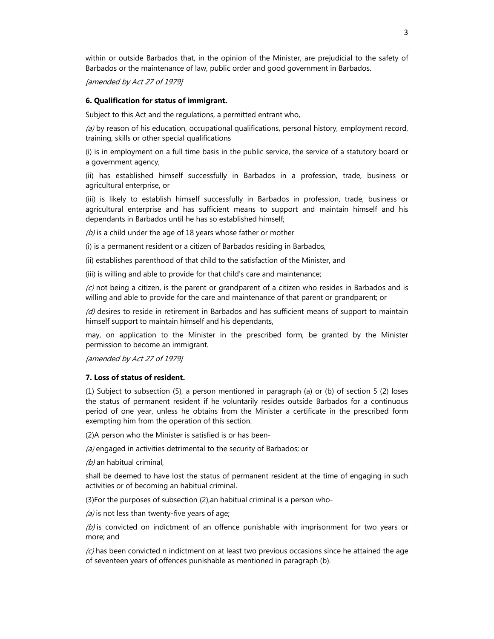within or outside Barbados that, in the opinion of the Minister, are prejudicial to the safety of Barbados or the maintenance of law, public order and good government in Barbados.

[amended by Act 27 of 1979]

### **6. Qualification for status of immigrant.**

Subject to this Act and the regulations, a permitted entrant who,

(a) by reason of his education, occupational qualifications, personal history, employment record, training, skills or other special qualifications

(i) is in employment on a full time basis in the public service, the service of a statutory board or a government agency,

(ii) has established himself successfully in Barbados in a profession, trade, business or agricultural enterprise, or

(iii) is likely to establish himself successfully in Barbados in profession, trade, business or agricultural enterprise and has sufficient means to support and maintain himself and his dependants in Barbados until he has so established himself;

 $(b)$  is a child under the age of 18 years whose father or mother

(i) is a permanent resident or a citizen of Barbados residing in Barbados,

(ii) establishes parenthood of that child to the satisfaction of the Minister, and

(iii) is willing and able to provide for that child's care and maintenance;

 $(c)$  not being a citizen, is the parent or grandparent of a citizen who resides in Barbados and is willing and able to provide for the care and maintenance of that parent or grandparent; or

 $(d)$  desires to reside in retirement in Barbados and has sufficient means of support to maintain himself support to maintain himself and his dependants,

may, on application to the Minister in the prescribed form, be granted by the Minister permission to become an immigrant.

[amended by Act 27 of 1979]

### **7. Loss of status of resident.**

(1) Subject to subsection (5), a person mentioned in paragraph (a) or (b) of section 5 (2) loses the status of permanent resident if he voluntarily resides outside Barbados for a continuous period of one year, unless he obtains from the Minister a certificate in the prescribed form exempting him from the operation of this section.

(2)A person who the Minister is satisfied is or has been-

(a) engaged in activities detrimental to the security of Barbados; or

 $(b)$  an habitual criminal,

shall be deemed to have lost the status of permanent resident at the time of engaging in such activities or of becoming an habitual criminal.

(3)For the purposes of subsection (2),an habitual criminal is a person who-

 $(a)$  is not less than twenty-five years of age;

 $(b)$  is convicted on indictment of an offence punishable with imprisonment for two years or more; and

 $(c)$  has been convicted n indictment on at least two previous occasions since he attained the age of seventeen years of offences punishable as mentioned in paragraph (b).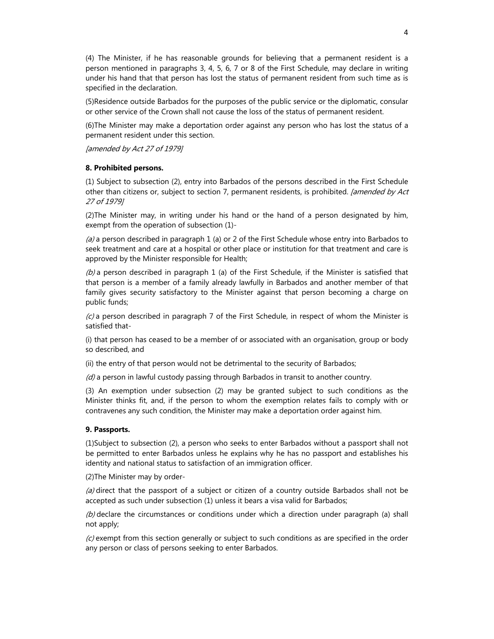(4) The Minister, if he has reasonable grounds for believing that a permanent resident is a person mentioned in paragraphs 3, 4, 5, 6, 7 or 8 of the First Schedule, may declare in writing under his hand that that person has lost the status of permanent resident from such time as is specified in the declaration.

(5)Residence outside Barbados for the purposes of the public service or the diplomatic, consular or other service of the Crown shall not cause the loss of the status of permanent resident.

(6)The Minister may make a deportation order against any person who has lost the status of a permanent resident under this section.

[amended by Act 27 of 1979]

### **8. Prohibited persons.**

(1) Subject to subsection (2), entry into Barbados of the persons described in the First Schedule other than citizens or, subject to section 7, permanent residents, is prohibited. *[amended by Act* 27 of 1979]

(2)The Minister may, in writing under his hand or the hand of a person designated by him, exempt from the operation of subsection (1)-

(a) a person described in paragraph 1 (a) or 2 of the First Schedule whose entry into Barbados to seek treatment and care at a hospital or other place or institution for that treatment and care is approved by the Minister responsible for Health;

(b) a person described in paragraph 1 (a) of the First Schedule, if the Minister is satisfied that that person is a member of a family already lawfully in Barbados and another member of that family gives security satisfactory to the Minister against that person becoming a charge on public funds;

 $(c)$  a person described in paragraph 7 of the First Schedule, in respect of whom the Minister is satisfied that-

(i) that person has ceased to be a member of or associated with an organisation, group or body so described, and

(ii) the entry of that person would not be detrimental to the security of Barbados;

 $(d)$  a person in lawful custody passing through Barbados in transit to another country.

(3) An exemption under subsection (2) may be granted subject to such conditions as the Minister thinks fit, and, if the person to whom the exemption relates fails to comply with or contravenes any such condition, the Minister may make a deportation order against him.

#### **9. Passports.**

(1)Subject to subsection (2), a person who seeks to enter Barbados without a passport shall not be permitted to enter Barbados unless he explains why he has no passport and establishes his identity and national status to satisfaction of an immigration officer.

(2)The Minister may by order-

(a) direct that the passport of a subject or citizen of a country outside Barbados shall not be accepted as such under subsection (1) unless it bears a visa valid for Barbados;

(b) declare the circumstances or conditions under which a direction under paragraph (a) shall not apply;

 $(c)$  exempt from this section generally or subject to such conditions as are specified in the order any person or class of persons seeking to enter Barbados.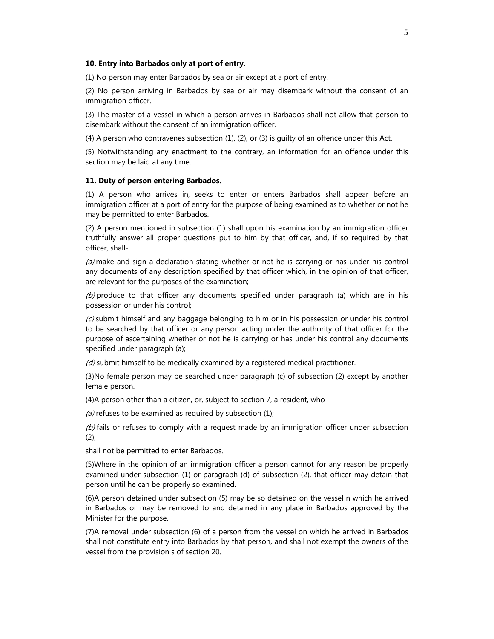#### **10. Entry into Barbados only at port of entry.**

(1) No person may enter Barbados by sea or air except at a port of entry.

(2) No person arriving in Barbados by sea or air may disembark without the consent of an immigration officer.

(3) The master of a vessel in which a person arrives in Barbados shall not allow that person to disembark without the consent of an immigration officer.

(4) A person who contravenes subsection (1), (2), or (3) is guilty of an offence under this Act.

(5) Notwithstanding any enactment to the contrary, an information for an offence under this section may be laid at any time.

#### **11. Duty of person entering Barbados.**

(1) A person who arrives in, seeks to enter or enters Barbados shall appear before an immigration officer at a port of entry for the purpose of being examined as to whether or not he may be permitted to enter Barbados.

(2) A person mentioned in subsection (1) shall upon his examination by an immigration officer truthfully answer all proper questions put to him by that officer, and, if so required by that officer, shall-

 $(a)$  make and sign a declaration stating whether or not he is carrying or has under his control any documents of any description specified by that officer which, in the opinion of that officer, are relevant for the purposes of the examination;

(b) produce to that officer any documents specified under paragraph (a) which are in his possession or under his control;

 $(c)$  submit himself and any baggage belonging to him or in his possession or under his control to be searched by that officer or any person acting under the authority of that officer for the purpose of ascertaining whether or not he is carrying or has under his control any documents specified under paragraph (a);

 $(d)$  submit himself to be medically examined by a registered medical practitioner.

(3)No female person may be searched under paragraph (c) of subsection (2) except by another female person.

(4)A person other than a citizen, or, subject to section 7, a resident, who-

(a) refuses to be examined as required by subsection  $(1)$ ;

(b) fails or refuses to comply with a request made by an immigration officer under subsection (2),

shall not be permitted to enter Barbados.

(5)Where in the opinion of an immigration officer a person cannot for any reason be properly examined under subsection (1) or paragraph (d) of subsection (2), that officer may detain that person until he can be properly so examined.

(6)A person detained under subsection (5) may be so detained on the vessel n which he arrived in Barbados or may be removed to and detained in any place in Barbados approved by the Minister for the purpose.

(7)A removal under subsection (6) of a person from the vessel on which he arrived in Barbados shall not constitute entry into Barbados by that person, and shall not exempt the owners of the vessel from the provision s of section 20.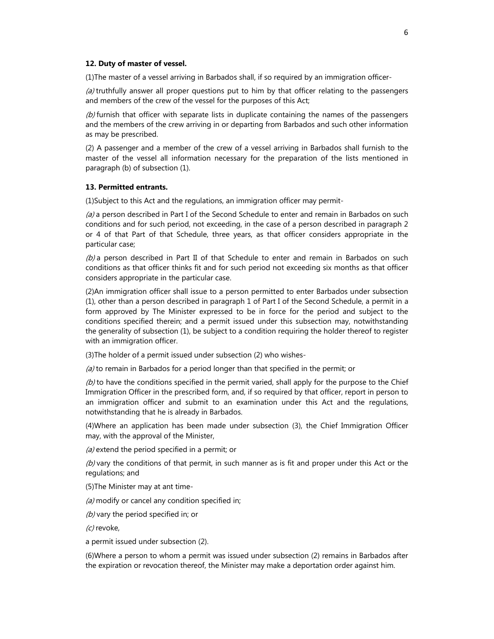#### **12. Duty of master of vessel.**

(1)The master of a vessel arriving in Barbados shall, if so required by an immigration officer-

 $(a)$  truthfully answer all proper questions put to him by that officer relating to the passengers and members of the crew of the vessel for the purposes of this Act;

 $(b)$  furnish that officer with separate lists in duplicate containing the names of the passengers and the members of the crew arriving in or departing from Barbados and such other information as may be prescribed.

(2) A passenger and a member of the crew of a vessel arriving in Barbados shall furnish to the master of the vessel all information necessary for the preparation of the lists mentioned in paragraph (b) of subsection (1).

#### **13. Permitted entrants.**

(1)Subject to this Act and the regulations, an immigration officer may permit-

(a) a person described in Part I of the Second Schedule to enter and remain in Barbados on such conditions and for such period, not exceeding, in the case of a person described in paragraph 2 or 4 of that Part of that Schedule, three years, as that officer considers appropriate in the particular case;

 $(b)$  a person described in Part II of that Schedule to enter and remain in Barbados on such conditions as that officer thinks fit and for such period not exceeding six months as that officer considers appropriate in the particular case.

(2)An immigration officer shall issue to a person permitted to enter Barbados under subsection (1), other than a person described in paragraph 1 of Part I of the Second Schedule, a permit in a form approved by The Minister expressed to be in force for the period and subject to the conditions specified therein; and a permit issued under this subsection may, notwithstanding the generality of subsection (1), be subject to a condition requiring the holder thereof to register with an immigration officer.

(3)The holder of a permit issued under subsection (2) who wishes-

 $(a)$  to remain in Barbados for a period longer than that specified in the permit; or

 $(b)$  to have the conditions specified in the permit varied, shall apply for the purpose to the Chief Immigration Officer in the prescribed form, and, if so required by that officer, report in person to an immigration officer and submit to an examination under this Act and the regulations, notwithstanding that he is already in Barbados.

(4)Where an application has been made under subsection (3), the Chief Immigration Officer may, with the approval of the Minister,

(a) extend the period specified in a permit; or

 $(b)$  vary the conditions of that permit, in such manner as is fit and proper under this Act or the regulations; and

(5)The Minister may at ant time-

(a) modify or cancel any condition specified in;

(b) vary the period specified in; or

(c) revoke,

a permit issued under subsection (2).

(6)Where a person to whom a permit was issued under subsection (2) remains in Barbados after the expiration or revocation thereof, the Minister may make a deportation order against him.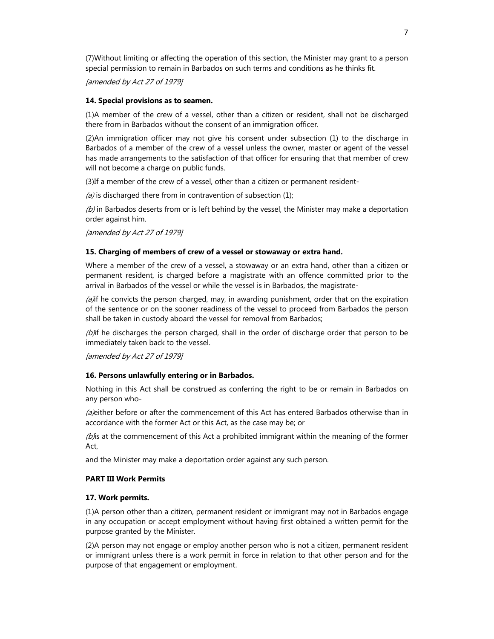(7)Without limiting or affecting the operation of this section, the Minister may grant to a person special permission to remain in Barbados on such terms and conditions as he thinks fit.

[amended by Act 27 of 1979]

### **14. Special provisions as to seamen.**

(1)A member of the crew of a vessel, other than a citizen or resident, shall not be discharged there from in Barbados without the consent of an immigration officer.

(2)An immigration officer may not give his consent under subsection (1) to the discharge in Barbados of a member of the crew of a vessel unless the owner, master or agent of the vessel has made arrangements to the satisfaction of that officer for ensuring that that member of crew will not become a charge on public funds.

(3)If a member of the crew of a vessel, other than a citizen or permanent resident-

(a) is discharged there from in contravention of subsection  $(1)$ ;

 $(b)$  in Barbados deserts from or is left behind by the vessel, the Minister may make a deportation order against him.

[amended by Act 27 of 1979]

### **15. Charging of members of crew of a vessel or stowaway or extra hand.**

Where a member of the crew of a vessel, a stowaway or an extra hand, other than a citizen or permanent resident, is charged before a magistrate with an offence committed prior to the arrival in Barbados of the vessel or while the vessel is in Barbados, the magistrate-

 $(a)$ if he convicts the person charged, may, in awarding punishment, order that on the expiration of the sentence or on the sooner readiness of the vessel to proceed from Barbados the person shall be taken in custody aboard the vessel for removal from Barbados;

(b) if he discharges the person charged, shall in the order of discharge order that person to be immediately taken back to the vessel.

[amended by Act 27 of 1979]

#### **16. Persons unlawfully entering or in Barbados.**

Nothing in this Act shall be construed as conferring the right to be or remain in Barbados on any person who-

(a) either before or after the commencement of this Act has entered Barbados otherwise than in accordance with the former Act or this Act, as the case may be; or

( $b$ ) is at the commencement of this Act a prohibited immigrant within the meaning of the former Act,

and the Minister may make a deportation order against any such person.

## **PART III Work Permits**

#### **17. Work permits.**

(1)A person other than a citizen, permanent resident or immigrant may not in Barbados engage in any occupation or accept employment without having first obtained a written permit for the purpose granted by the Minister.

(2)A person may not engage or employ another person who is not a citizen, permanent resident or immigrant unless there is a work permit in force in relation to that other person and for the purpose of that engagement or employment.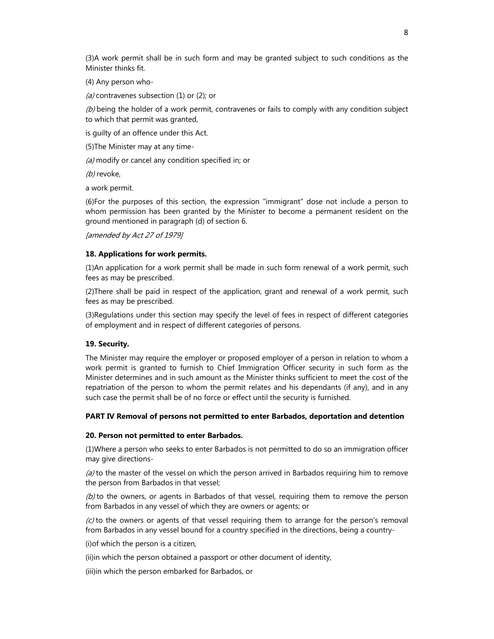(3)A work permit shall be in such form and may be granted subject to such conditions as the Minister thinks fit.

(4) Any person who-

(a) contravenes subsection (1) or (2); or

 $(b)$  being the holder of a work permit, contravenes or fails to comply with any condition subject to which that permit was granted,

is guilty of an offence under this Act.

(5)The Minister may at any time-

(a) modify or cancel any condition specified in; or

(b) revoke,

a work permit.

(6)For the purposes of this section, the expression "immigrant" dose not include a person to whom permission has been granted by the Minister to become a permanent resident on the ground mentioned in paragraph (d) of section 6.

[amended by Act 27 of 1979]

### **18. Applications for work permits.**

(1)An application for a work permit shall be made in such form renewal of a work permit, such fees as may be prescribed.

(2)There shall be paid in respect of the application, grant and renewal of a work permit, such fees as may be prescribed.

(3)Regulations under this section may specify the level of fees in respect of different categories of employment and in respect of different categories of persons.

## **19. Security.**

The Minister may require the employer or proposed employer of a person in relation to whom a work permit is granted to furnish to Chief Immigration Officer security in such form as the Minister determines and in such amount as the Minister thinks sufficient to meet the cost of the repatriation of the person to whom the permit relates and his dependants (if any), and in any such case the permit shall be of no force or effect until the security is furnished.

#### **PART IV Removal of persons not permitted to enter Barbados, deportation and detention**

#### **20. Person not permitted to enter Barbados.**

(1)Where a person who seeks to enter Barbados is not permitted to do so an immigration officer may give directions-

 $(a)$  to the master of the vessel on which the person arrived in Barbados requiring him to remove the person from Barbados in that vessel;

 $(b)$  to the owners, or agents in Barbados of that vessel, requiring them to remove the person from Barbados in any vessel of which they are owners or agents; or

 $(c)$  to the owners or agents of that vessel requiring them to arrange for the person's removal from Barbados in any vessel bound for a country specified in the directions, being a country-

(i)of which the person is a citizen,

(ii)in which the person obtained a passport or other document of identity,

(iii)in which the person embarked for Barbados, or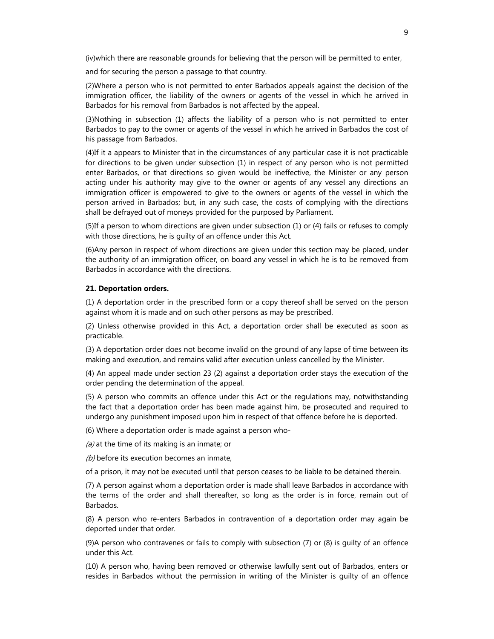(iv)which there are reasonable grounds for believing that the person will be permitted to enter,

and for securing the person a passage to that country.

(2)Where a person who is not permitted to enter Barbados appeals against the decision of the immigration officer, the liability of the owners or agents of the vessel in which he arrived in Barbados for his removal from Barbados is not affected by the appeal.

(3)Nothing in subsection (1) affects the liability of a person who is not permitted to enter Barbados to pay to the owner or agents of the vessel in which he arrived in Barbados the cost of his passage from Barbados.

(4)If it a appears to Minister that in the circumstances of any particular case it is not practicable for directions to be given under subsection (1) in respect of any person who is not permitted enter Barbados, or that directions so given would be ineffective, the Minister or any person acting under his authority may give to the owner or agents of any vessel any directions an immigration officer is empowered to give to the owners or agents of the vessel in which the person arrived in Barbados; but, in any such case, the costs of complying with the directions shall be defrayed out of moneys provided for the purposed by Parliament.

(5)If a person to whom directions are given under subsection (1) or (4) fails or refuses to comply with those directions, he is guilty of an offence under this Act.

(6)Any person in respect of whom directions are given under this section may be placed, under the authority of an immigration officer, on board any vessel in which he is to be removed from Barbados in accordance with the directions.

## **21. Deportation orders.**

(1) A deportation order in the prescribed form or a copy thereof shall be served on the person against whom it is made and on such other persons as may be prescribed.

(2) Unless otherwise provided in this Act, a deportation order shall be executed as soon as practicable.

(3) A deportation order does not become invalid on the ground of any lapse of time between its making and execution, and remains valid after execution unless cancelled by the Minister.

(4) An appeal made under section 23 (2) against a deportation order stays the execution of the order pending the determination of the appeal.

(5) A person who commits an offence under this Act or the regulations may, notwithstanding the fact that a deportation order has been made against him, be prosecuted and required to undergo any punishment imposed upon him in respect of that offence before he is deported.

(6) Where a deportation order is made against a person who-

 $(a)$  at the time of its making is an inmate; or

 $(b)$  before its execution becomes an inmate,

of a prison, it may not be executed until that person ceases to be liable to be detained therein.

(7) A person against whom a deportation order is made shall leave Barbados in accordance with the terms of the order and shall thereafter, so long as the order is in force, remain out of Barbados.

(8) A person who re-enters Barbados in contravention of a deportation order may again be deported under that order.

(9)A person who contravenes or fails to comply with subsection (7) or (8) is guilty of an offence under this Act.

(10) A person who, having been removed or otherwise lawfully sent out of Barbados, enters or resides in Barbados without the permission in writing of the Minister is guilty of an offence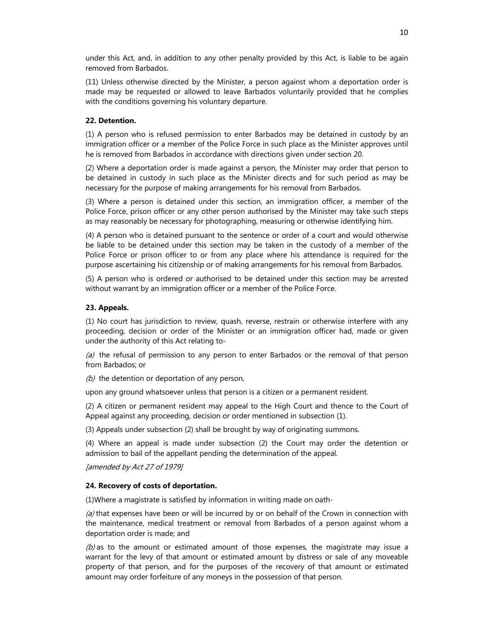under this Act, and, in addition to any other penalty provided by this Act, is liable to be again removed from Barbados.

(11) Unless otherwise directed by the Minister, a person against whom a deportation order is made may be requested or allowed to leave Barbados voluntarily provided that he complies with the conditions governing his voluntary departure.

## **22. Detention.**

(1) A person who is refused permission to enter Barbados may be detained in custody by an immigration officer or a member of the Police Force in such place as the Minister approves until he is removed from Barbados in accordance with directions given under section 20.

(2) Where a deportation order is made against a person, the Minister may order that person to be detained in custody in such place as the Minister directs and for such period as may be necessary for the purpose of making arrangements for his removal from Barbados.

(3) Where a person is detained under this section, an immigration officer, a member of the Police Force, prison officer or any other person authorised by the Minister may take such steps as may reasonably be necessary for photographing, measuring or otherwise identifying him.

(4) A person who is detained pursuant to the sentence or order of a court and would otherwise be liable to be detained under this section may be taken in the custody of a member of the Police Force or prison officer to or from any place where his attendance is required for the purpose ascertaining his citizenship or of making arrangements for his removal from Barbados.

(5) A person who is ordered or authorised to be detained under this section may be arrested without warrant by an immigration officer or a member of the Police Force.

#### **23. Appeals.**

(1) No court has jurisdiction to review, quash, reverse, restrain or otherwise interfere with any proceeding, decision or order of the Minister or an immigration officer had, made or given under the authority of this Act relating to-

(a) the refusal of permission to any person to enter Barbados or the removal of that person from Barbados; or

 $(b)$  the detention or deportation of any person,

upon any ground whatsoever unless that person is a citizen or a permanent resident.

(2) A citizen or permanent resident may appeal to the High Court and thence to the Court of Appeal against any proceeding, decision or order mentioned in subsection (1).

(3) Appeals under subsection (2) shall be brought by way of originating summons.

(4) Where an appeal is made under subsection (2) the Court may order the detention or admission to bail of the appellant pending the determination of the appeal.

[amended by Act 27 of 1979]

#### **24. Recovery of costs of deportation.**

(1)Where a magistrate is satisfied by information in writing made on oath-

 $(a)$  that expenses have been or will be incurred by or on behalf of the Crown in connection with the maintenance, medical treatment or removal from Barbados of a person against whom a deportation order is made; and

(b) as to the amount or estimated amount of those expenses, the magistrate may issue a warrant for the levy of that amount or estimated amount by distress or sale of any moveable property of that person, and for the purposes of the recovery of that amount or estimated amount may order forfeiture of any moneys in the possession of that person.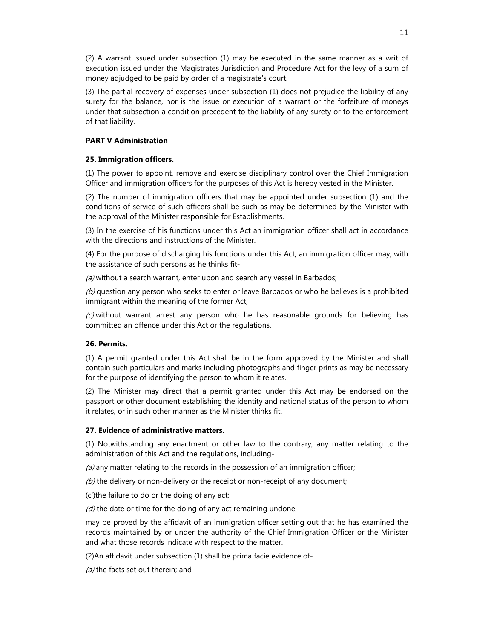(2) A warrant issued under subsection (1) may be executed in the same manner as a writ of execution issued under the Magistrates Jurisdiction and Procedure Act for the levy of a sum of money adjudged to be paid by order of a magistrate's court.

(3) The partial recovery of expenses under subsection (1) does not prejudice the liability of any surety for the balance, nor is the issue or execution of a warrant or the forfeiture of moneys under that subsection a condition precedent to the liability of any surety or to the enforcement of that liability.

## **PART V Administration**

## **25. Immigration officers.**

(1) The power to appoint, remove and exercise disciplinary control over the Chief Immigration Officer and immigration officers for the purposes of this Act is hereby vested in the Minister.

(2) The number of immigration officers that may be appointed under subsection (1) and the conditions of service of such officers shall be such as may be determined by the Minister with the approval of the Minister responsible for Establishments.

(3) In the exercise of his functions under this Act an immigration officer shall act in accordance with the directions and instructions of the Minister.

(4) For the purpose of discharging his functions under this Act, an immigration officer may, with the assistance of such persons as he thinks fit-

 $(a)$  without a search warrant, enter upon and search any vessel in Barbados;

 $(b)$  question any person who seeks to enter or leave Barbados or who he believes is a prohibited immigrant within the meaning of the former Act;

 $(c)$  without warrant arrest any person who he has reasonable grounds for believing has committed an offence under this Act or the regulations.

# **26. Permits.**

(1) A permit granted under this Act shall be in the form approved by the Minister and shall contain such particulars and marks including photographs and finger prints as may be necessary for the purpose of identifying the person to whom it relates.

(2) The Minister may direct that a permit granted under this Act may be endorsed on the passport or other document establishing the identity and national status of the person to whom it relates, or in such other manner as the Minister thinks fit.

## **27. Evidence of administrative matters.**

(1) Notwithstanding any enactment or other law to the contrary, any matter relating to the administration of this Act and the regulations, including-

 $(a)$  any matter relating to the records in the possession of an immigration officer;

 $(b)$  the delivery or non-delivery or the receipt or non-receipt of any document;

(c')the failure to do or the doing of any act;

 $(d)$  the date or time for the doing of any act remaining undone,

may be proved by the affidavit of an immigration officer setting out that he has examined the records maintained by or under the authority of the Chief Immigration Officer or the Minister and what those records indicate with respect to the matter.

(2)An affidavit under subsection (1) shall be prima facie evidence of-

(a) the facts set out therein; and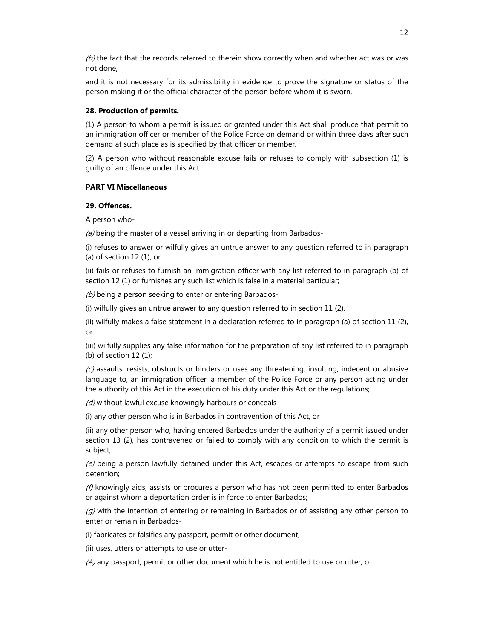$(b)$  the fact that the records referred to therein show correctly when and whether act was or was not done,

and it is not necessary for its admissibility in evidence to prove the signature or status of the person making it or the official character of the person before whom it is sworn.

### **28. Production of permits.**

(1) A person to whom a permit is issued or granted under this Act shall produce that permit to an immigration officer or member of the Police Force on demand or within three days after such demand at such place as is specified by that officer or member.

(2) A person who without reasonable excuse fails or refuses to comply with subsection (1) is guilty of an offence under this Act.

#### **PART VI Miscellaneous**

### **29. Offences.**

A person who-

 $(a)$  being the master of a vessel arriving in or departing from Barbados-

(i) refuses to answer or wilfully gives an untrue answer to any question referred to in paragraph (a) of section 12 (1), or

(ii) fails or refuses to furnish an immigration officer with any list referred to in paragraph (b) of section 12 (1) or furnishes any such list which is false in a material particular;

(b) being a person seeking to enter or entering Barbados-

(i) wilfully gives an untrue answer to any question referred to in section 11 (2),

(ii) wilfully makes a false statement in a declaration referred to in paragraph (a) of section 11 (2), or

(iii) wilfully supplies any false information for the preparation of any list referred to in paragraph (b) of section 12 (1);

 $(c)$  assaults, resists, obstructs or hinders or uses any threatening, insulting, indecent or abusive language to, an immigration officer, a member of the Police Force or any person acting under the authority of this Act in the execution of his duty under this Act or the regulations;

(d) without lawful excuse knowingly harbours or conceals-

(i) any other person who is in Barbados in contravention of this Act, or

(ii) any other person who, having entered Barbados under the authority of a permit issued under section 13 (2), has contravened or failed to comply with any condition to which the permit is subject;

 $(e)$  being a person lawfully detained under this Act, escapes or attempts to escape from such detention;

 $(f)$  knowingly aids, assists or procures a person who has not been permitted to enter Barbados or against whom a deportation order is in force to enter Barbados;

 $(q)$  with the intention of entering or remaining in Barbados or of assisting any other person to enter or remain in Barbados-

(i) fabricates or falsifies any passport, permit or other document,

(ii) uses, utters or attempts to use or utter-

 $(A)$  any passport, permit or other document which he is not entitled to use or utter, or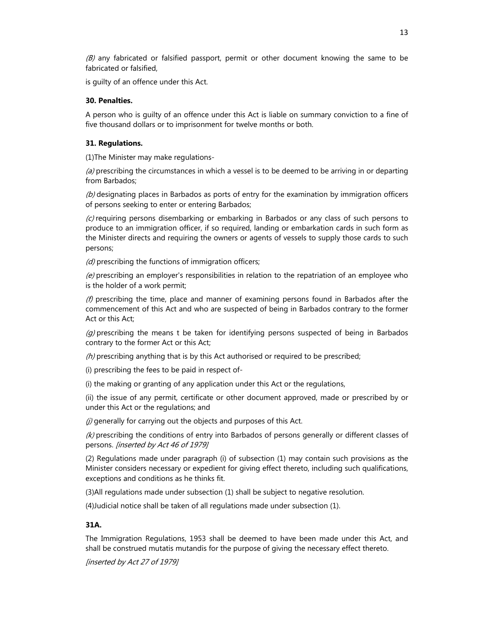$(B)$  any fabricated or falsified passport, permit or other document knowing the same to be fabricated or falsified,

is guilty of an offence under this Act.

### **30. Penalties.**

A person who is guilty of an offence under this Act is liable on summary conviction to a fine of five thousand dollars or to imprisonment for twelve months or both.

### **31. Regulations.**

(1)The Minister may make regulations-

 $(a)$  prescribing the circumstances in which a vessel is to be deemed to be arriving in or departing from Barbados;

 $(b)$  designating places in Barbados as ports of entry for the examination by immigration officers of persons seeking to enter or entering Barbados;

 $(c)$  requiring persons disembarking or embarking in Barbados or any class of such persons to produce to an immigration officer, if so required, landing or embarkation cards in such form as the Minister directs and requiring the owners or agents of vessels to supply those cards to such persons;

 $(d)$  prescribing the functions of immigration officers;

 $(e)$  prescribing an employer's responsibilities in relation to the repatriation of an employee who is the holder of a work permit;

(f) prescribing the time, place and manner of examining persons found in Barbados after the commencement of this Act and who are suspected of being in Barbados contrary to the former Act or this Act;

 $(q)$  prescribing the means t be taken for identifying persons suspected of being in Barbados contrary to the former Act or this Act;

 $(h)$  prescribing anything that is by this Act authorised or required to be prescribed;

(i) prescribing the fees to be paid in respect of-

(i) the making or granting of any application under this Act or the regulations,

(ii) the issue of any permit, certificate or other document approved, made or prescribed by or under this Act or the regulations; and

(i) generally for carrying out the objects and purposes of this Act.

(k) prescribing the conditions of entry into Barbados of persons generally or different classes of persons. [inserted by Act 46 of 1979]

(2) Regulations made under paragraph (i) of subsection (1) may contain such provisions as the Minister considers necessary or expedient for giving effect thereto, including such qualifications, exceptions and conditions as he thinks fit.

(3)All regulations made under subsection (1) shall be subject to negative resolution.

(4)Judicial notice shall be taken of all regulations made under subsection (1).

## **31A.**

The Immigration Regulations, 1953 shall be deemed to have been made under this Act, and shall be construed mutatis mutandis for the purpose of giving the necessary effect thereto.

[inserted by Act 27 of 1979]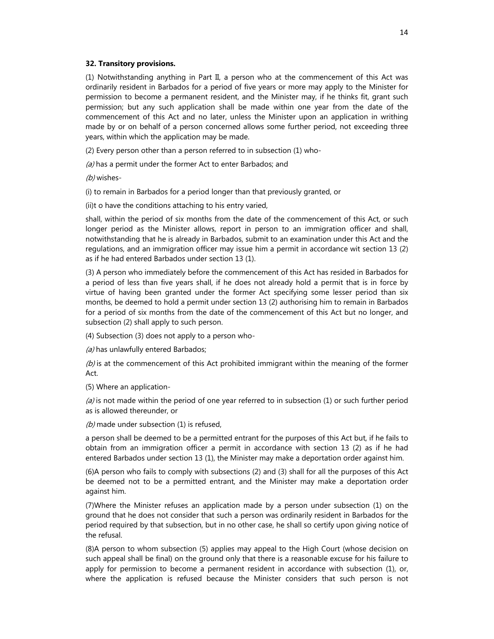#### **32. Transitory provisions.**

(1) Notwithstanding anything in Part II, a person who at the commencement of this Act was ordinarily resident in Barbados for a period of five years or more may apply to the Minister for permission to become a permanent resident, and the Minister may, if he thinks fit, grant such permission; but any such application shall be made within one year from the date of the commencement of this Act and no later, unless the Minister upon an application in writhing made by or on behalf of a person concerned allows some further period, not exceeding three years, within which the application may be made.

(2) Every person other than a person referred to in subsection (1) who-

(a) has a permit under the former Act to enter Barbados; and

(b) wishes-

(i) to remain in Barbados for a period longer than that previously granted, or

(ii)t o have the conditions attaching to his entry varied,

shall, within the period of six months from the date of the commencement of this Act, or such longer period as the Minister allows, report in person to an immigration officer and shall, notwithstanding that he is already in Barbados, submit to an examination under this Act and the regulations, and an immigration officer may issue him a permit in accordance wit section 13 (2) as if he had entered Barbados under section 13 (1).

(3) A person who immediately before the commencement of this Act has resided in Barbados for a period of less than five years shall, if he does not already hold a permit that is in force by virtue of having been granted under the former Act specifying some lesser period than six months, be deemed to hold a permit under section 13 (2) authorising him to remain in Barbados for a period of six months from the date of the commencement of this Act but no longer, and subsection (2) shall apply to such person.

(4) Subsection (3) does not apply to a person who-

(a) has unlawfully entered Barbados;

 $(b)$  is at the commencement of this Act prohibited immigrant within the meaning of the former Act.

(5) Where an application-

 $(a)$  is not made within the period of one year referred to in subsection (1) or such further period as is allowed thereunder, or

 $(b)$  made under subsection (1) is refused,

a person shall be deemed to be a permitted entrant for the purposes of this Act but, if he fails to obtain from an immigration officer a permit in accordance with section 13 (2) as if he had entered Barbados under section 13 (1), the Minister may make a deportation order against him.

(6)A person who fails to comply with subsections (2) and (3) shall for all the purposes of this Act be deemed not to be a permitted entrant, and the Minister may make a deportation order against him.

(7)Where the Minister refuses an application made by a person under subsection (1) on the ground that he does not consider that such a person was ordinarily resident in Barbados for the period required by that subsection, but in no other case, he shall so certify upon giving notice of the refusal.

(8)A person to whom subsection (5) applies may appeal to the High Court (whose decision on such appeal shall be final) on the ground only that there is a reasonable excuse for his failure to apply for permission to become a permanent resident in accordance with subsection (1), or, where the application is refused because the Minister considers that such person is not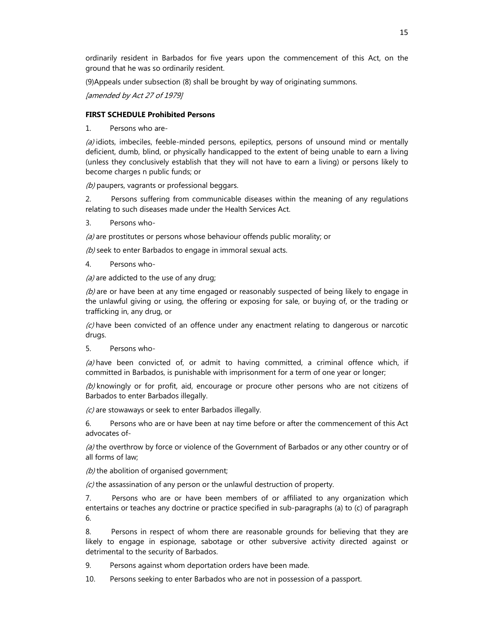ordinarily resident in Barbados for five years upon the commencement of this Act, on the ground that he was so ordinarily resident.

(9)Appeals under subsection (8) shall be brought by way of originating summons.

[amended by Act 27 of 1979]

### **FIRST SCHEDULE Prohibited Persons**

1. Persons who are-

 $(a)$  idiots, imbeciles, feeble-minded persons, epileptics, persons of unsound mind or mentally deficient, dumb, blind, or physically handicapped to the extent of being unable to earn a living (unless they conclusively establish that they will not have to earn a living) or persons likely to become charges n public funds; or

(b) paupers, vagrants or professional beggars.

2. Persons suffering from communicable diseases within the meaning of any regulations relating to such diseases made under the Health Services Act.

3. Persons who-

(a) are prostitutes or persons whose behaviour offends public morality; or

 $(b)$  seek to enter Barbados to engage in immoral sexual acts.

4. Persons who-

 $(a)$  are addicted to the use of any drug;

 $(b)$  are or have been at any time engaged or reasonably suspected of being likely to engage in the unlawful giving or using, the offering or exposing for sale, or buying of, or the trading or trafficking in, any drug, or

 $(c)$  have been convicted of an offence under any enactment relating to dangerous or narcotic drugs.

5. Persons who-

 $(a)$  have been convicted of, or admit to having committed, a criminal offence which, if committed in Barbados, is punishable with imprisonment for a term of one year or longer;

 $(b)$  knowingly or for profit, aid, encourage or procure other persons who are not citizens of Barbados to enter Barbados illegally.

(c) are stowaways or seek to enter Barbados illegally.

6. Persons who are or have been at nay time before or after the commencement of this Act advocates of-

 $(a)$  the overthrow by force or violence of the Government of Barbados or any other country or of all forms of law;

 $(b)$  the abolition of organised government;

 $(c)$  the assassination of any person or the unlawful destruction of property.

7. Persons who are or have been members of or affiliated to any organization which entertains or teaches any doctrine or practice specified in sub-paragraphs (a) to (c) of paragraph 6.

8. Persons in respect of whom there are reasonable grounds for believing that they are likely to engage in espionage, sabotage or other subversive activity directed against or detrimental to the security of Barbados.

9. Persons against whom deportation orders have been made.

10. Persons seeking to enter Barbados who are not in possession of a passport.